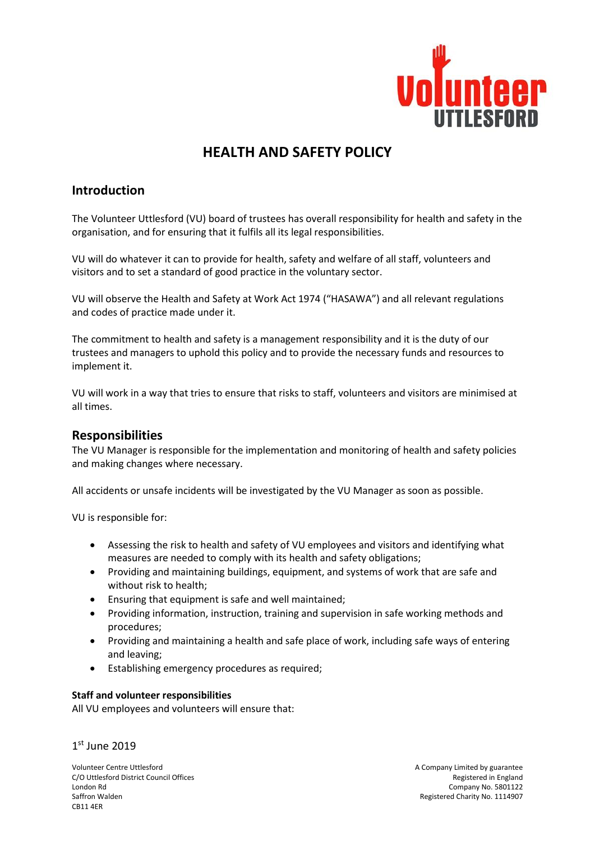

# **HEALTH AND SAFETY POLICY**

# **Introduction**

The Volunteer Uttlesford (VU) board of trustees has overall responsibility for health and safety in the organisation, and for ensuring that it fulfils all its legal responsibilities.

VU will do whatever it can to provide for health, safety and welfare of all staff, volunteers and visitors and to set a standard of good practice in the voluntary sector.

VU will observe the Health and Safety at Work Act 1974 ("HASAWA") and all relevant regulations and codes of practice made under it.

The commitment to health and safety is a management responsibility and it is the duty of our trustees and managers to uphold this policy and to provide the necessary funds and resources to implement it.

VU will work in a way that tries to ensure that risks to staff, volunteers and visitors are minimised at all times.

# **Responsibilities**

The VU Manager is responsible for the implementation and monitoring of health and safety policies and making changes where necessary.

All accidents or unsafe incidents will be investigated by the VU Manager as soon as possible.

VU is responsible for:

- Assessing the risk to health and safety of VU employees and visitors and identifying what measures are needed to comply with its health and safety obligations;
- Providing and maintaining buildings, equipment, and systems of work that are safe and without risk to health;
- Ensuring that equipment is safe and well maintained;
- Providing information, instruction, training and supervision in safe working methods and procedures;
- Providing and maintaining a health and safe place of work, including safe ways of entering and leaving;
- Establishing emergency procedures as required;

#### **Staff and volunteer responsibilities**

All VU employees and volunteers will ensure that:

1 st June 2019

Volunteer Centre Uttlesford<br>C/O Uttlesford District Council Offices and the state of the state of the state of the Security of the Securit<br>Registered in England C/O Uttlesford District Council Offices London Rd Company No. 5801122 Saffron Walden **Registered Charity No. 1114907** Case Charity No. 1114907 CB11 4ER